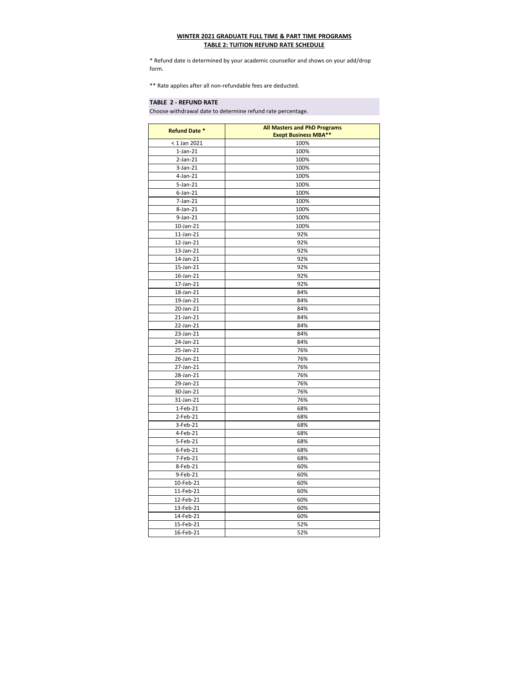| <b>Refund Date *</b> | <b>All Masters and PhD Programs</b><br><b>Exept Business MBA**</b> |
|----------------------|--------------------------------------------------------------------|
| $< 1$ Jan 2021       | 100%                                                               |
| $1$ -Jan- $21$       | 100%                                                               |
| $2-Jan-21$           | 100%                                                               |
| $3-Jan-21$           | 100%                                                               |
| $4$ -Jan-21          | 100%                                                               |
| 5-Jan-21             | 100%                                                               |
| $6$ -Jan-21          | 100%                                                               |
| $7$ -Jan- $21$       | 100%                                                               |
| $8$ -Jan-21          | 100%                                                               |
| $9$ -Jan-21          | 100%                                                               |
| 10-Jan-21            | 100%                                                               |
| $11$ -Jan- $21$      | 92%                                                                |
| 12-Jan-21            | 92%                                                                |
| 13-Jan-21            | 92%                                                                |
| 14-Jan-21            | 92%                                                                |
| 15-Jan-21            | 92%                                                                |
| 16-Jan-21            | 92%                                                                |
| 17-Jan-21            | 92%                                                                |
| 18-Jan-21            | 84%                                                                |
| 19-Jan-21            | 84%                                                                |
| 20-Jan-21            | 84%                                                                |
| $21$ -Jan- $21$      | 84%                                                                |
| 22-Jan-21            | 84%                                                                |
| 23-Jan-21            | 84%                                                                |
| 24-Jan-21            | 84%                                                                |
| 25-Jan-21            | 76%                                                                |
| 26-Jan-21            | 76%                                                                |
| 27-Jan-21            | 76%                                                                |
| 28-Jan-21            | 76%                                                                |
| 29-Jan-21            | 76%                                                                |
| 30-Jan-21            | 76%                                                                |
| 31-Jan-21            | 76%                                                                |
| $1-Feb-21$           | 68%                                                                |
| $2-Feb-21$           | 68%                                                                |
| 3-Feb-21             | 68%                                                                |
| 4-Feb-21             | 68%                                                                |
| 5-Feb-21             | 68%                                                                |
| $6$ -Feb-21          | 68%                                                                |
| 7-Feb-21             | 68%                                                                |
| 8-Feb-21             | 60%                                                                |
| 9-Feb-21             | 60%                                                                |
| 10-Feb-21            | 60%                                                                |
| 11-Feb-21            | 60%                                                                |
| 12-Feb-21            | 60%                                                                |
| 13-Feb-21            | 60%                                                                |
| 14-Feb-21            | 60%                                                                |
| 15-Feb-21            | 52%                                                                |
| 16-Feb-21            | 52%                                                                |

## **TABLE 2 - REFUND RATE**

## **WINTER 2021 GRADUATE FULL TIME & PART TIME PROGRAMS TABLE 2: TUITION REFUND RATE SCHEDULE**

\* Refund date is determined by your academic counsellor and shows on your add/drop form.

\*\* Rate applies after all non-refundable fees are deducted.

Choose withdrawal date to determine refund rate percentage.